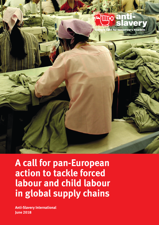

**A call for pan-European action to tackle forced labour and child labour in global supply chains**

**Anti-Slavery International June 2018**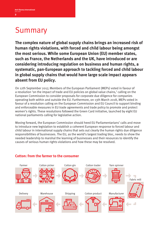# Summary

The complex nature of global supply chains brings an increased risk of human rights violations, with forced and child labour being amongst the most serious. While some European Union (EU) member states, such as France, the Netherlands and the UK, have introduced or are considering introducing regulation on business and human rights, a systematic, pan-European approach to tackling forced and child labour **in global supply chains that would have large scale impact appears absent from EU policy.** 

On 12th September 2017, Members of the European Parliament (MEPs) voted in favour of a resolution 'on the impact of trade and EU policies on global value chains,' calling on the European Commission to consider proposals for corporate due diligence for companies operating both within and outside the EU. Furthermore, on 13th March 2018, MEPs voted in favour of a resolution calling on the European Commission and EU Council to support binding and enforceable measures in EU trade agreements and trade policy to promote and protect women's rights. These resolutions followed the Green Card initiative, launched by eight EU national parliaments calling for legislative action.

Moving forward, the European Commission should heed EU Parliamentarians' calls and move to introduce new legislation to establish a coherent European response to forced labour and child labour in international supply chains that sets out clearly the human rights due diligence responsibilities of businesses. The EU, as the world's largest trading bloc, needs to show the needed leadership to marshal the learning of businesses and their resources to identify the causes of serious human rights violations and how these may be resolved.



### **Cotton: from the farmer to the consumer**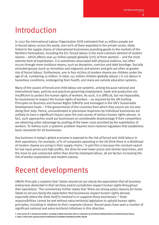## Introduction

In 2017 the International Labour Organization (ILO) estimated that 25 million people are in forced labour across the world, over 60% of them exploited in the private sector, likely linked to the supply chains of international businesses providing goods to the markets of the Northern hemisphere, including the EU. Forced labour is the most common element of modern slavery – which affects over 40 million people globally (70% of them women) – and the most extreme form of exploitation. It is sometimes associated with physical violence, but often occurs through more insidious means, such as deception, coercion and debt bondage. Socially excluded groups (such as minorities and migrants) and women and girls are often at greater risk of forced labour. Furthermore, one in four victims of modern slavery are children under the age of 18, numbering 10 million. In total, 152 million children globally (about 1 in 10) labour in hazardous conditions, endangering their health, and many are outside education systems.

Many of the causes of forced and child labour are systemic, arising because national and international laws, policies and practices governing employment, trade and production are insufficient to protect the human rights of workers. As such, it is difficult, but not impossible, for businesses to respect the human rights of workers – as required by the UN Guiding Principles on Business and Human Rights (UNGPs) and envisaged in the UN's Sustainable Development Goals – if the governments of the countries from which they source are not also doing their duty. Hence, uncoordinated or piecemeal responses by individual businesses are unlikely to have a significant impact upon the root causes of serious human rights abuses. In fact, such approaches could put businesses at considerable disadvantage if their competitors are obtaining unfair advantage by availing of the lower costs provided by the exploitation of workers. To redress such a systemic problem requires trans-national regulation that establishes basic standards for all businesses.

Any business in today's global economy is exposed to the risk of forced and child labour in their operations. For example, 77% of companies operating in the UK think there is a likelihood of modern slavery occurring in their supply chains.<sup>1</sup> In part this is because the constant search for low input prices and high profits, the drive for ever lower prices and shorter lead times, and the move to sub-contracted rather than directly employed labour, all are factors increasing the risk of worker exploitation and modern slavery.

# Recent developments

UNGPs Principle explains that *'states should set out clearly the expectation that all business enterprises domiciled in their territory and/or jurisdiction respect human rights throughout their operations.'* The commentary further states that *'there are strong policy reasons for home States to set out clearly the expectation that businesses respect human rights abroad, especially where the State itself is involved in or supports those businesses.*<sup>2</sup> State responsibilities cannot be met without extra-territorial legislation to uphold human rights principles, including in relation to their corporate citizens. Recent years have seen a number of significant national and extra-territorial initiatives in this direction.

1, 2016 survey of 71 brands and retailers, including in-depth interviews with 25 companies, by the Ethical Trading Initiative and Hult Business School. 2. https://www.ohchr.org/Documents/Publications/GuidingPrinciplesBusinessHR\_EN.pdf.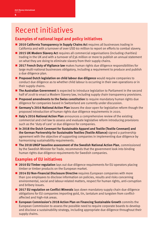## Recent initiatives

### **Examples of national legal and policy initiatives**

- **BMJB 2010 California Transparency in Supply Chains Act requires all businesses trading in** California and with a turnover of over USD 60 million to report on efforts to combat slavery.
- **E.** 2015 UK Modern Slavery Act requires all commercial organisations (including charities) trading in the UK and with a turnover of £36 million or more to publish an annual statement on what they are doing to eliminate slavery from their supply chains.
- **2017 French Duty of Vigilance law** makes human rights due diligence responsibilities for large multi-national businesses obligatory, including a requirement to produce and publish a due diligence plan.
- **Proposed Dutch legislation on child labour due diligence** would require companies to conduct due diligence as to whether child labour is occurring in their own operations or in their supply chains.
- **IF The Australian Government** is expected to introduce legislation to Parliament in the second half of 2018 to enact a Modern Slavery law, including supply chain transparency provisions.
- **Proposed amendments to the Swiss constitution** to require mandatory human rights due diligence for companies based in Switzerland are currently under discussion.
- **E** Germany's 2016 National Action Plan leaves the door open for legislative reform though the proposed introduction of human rights due diligence requirements in 2020.
- **E** Italy's 2016 National Action Plan announces a comprehensive review of the existing commercial and civil law to assess and evaluate legislative reform introducing provisions such as the 'duty of care' or due diligence for companies.
- $\blacksquare$  In 2018 the Dutch Covenant for Sustainable Apparel and Textile (Textile Covenant) and the German Partnership for Sustainable Textiles (Textile Alliance) signed a partnership agreement with the objective of supporting companies in implementing due diligence by harmonising sustainability requirements.
- **The 2018 UNGP baseline assessment of the Swedish National Action Plan, commissioned** by the Swedish Minister for Trade, recommends that the government look into binding human rights due diligence requirements for Swedish companies.

### **Examples of EU initiatives**

- **EXECTE 2010 EU Timber regulation** lays out due diligence requirements for EU operators placing timber or timber products on the European market.
- **EX/POTA/ED Non-Financial Disclosure Directive** requires European companies with more than 500 employees to disclose information on policies, results and risks concerning environmental, social and labour-related matters, respect for human rights, anti-corruption and bribery issues.
- **E** 2017 EU regulation on Conflict Minerals lays down mandatory supply chain due diligence obligations for EU companies importing gold, tin, tantalum and tungsten from conflictaffected and high-risk areas.
- **European Commission's 2018 Action Plan on Financing Sustainable Growth** commits the European Commission to assess the possible need to require corporate boards to develop and disclose a sustainability strategy, including appropriate due diligence throughout their supply chains.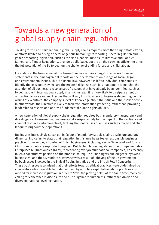## Towards a new generation of global supply chain regulation

Tackling forced and child labour in global supply chains requires more than single state efforts, or efforts limited to a single sector or generic human rights reporting. Sector regulation and generic reporting legislation, such as the Non-Financial Disclosure Directive and Conflict Mineral and Timber Regulations, provide a solid base, but are on their own insufficient to bring the full potential of the EU to bear on the challenge of ending forced and child labour.

For instance, the Non-Financial Disclosure Directive requires 'large' businesses to make statements in their management reports on their performance on a range of social, legal and environmental issues. This is a useful law, however it is left to individual companies to identify those issues they feel are the greatest risks. As such, it is inadequate to marshal the attention of all business to resolve specific issues that have already been identified (such as forced labour in international supply chains). Instead, it is more likely to dissipate attention and action across a range of issues that will vary from business to business depending on the whims of executives, the company's level of knowledge about the issue and their sense of risk. In other words, the Directive is likely to facilitate information gathering, rather than providing leadership to resolve and address fundamental human rights abuses.

A new generation of global supply chain regulation requires both mandatory transparency and due diligence, to ensure that businesses take responsibility for the impact of their actions and channel resources into pro-actively tackling the root causes of abuses such as forced and child labour throughout their operations.

Businesses increasingly speak out in favour of mandatory supply chains disclosure and due diligence, indicating to states that regulation in this area helps foster responsible business practice. For example, a number of Dutch businesses, including Nestle Nederland and Tony's Chocolonely, publicly supported proposed Dutch child labour legislation; the Groupement des Enterprises Multinationales (GEM), representing over 90 multinational companies, has recently taken a constructive position on the proposal to require human rights due diligence by Swiss businesses; and the UK Modern Slavery Act was a result of lobbying of the UK government by businesses involved in the Ethical Trading Initiative and the British Retail Consortium. These businesses recognised that their efforts towards ethical practices were undermined by competitors who were able to undercut them by adopting exploitative labour practices and wished for increased regulation in order to 'level the playing field'. At the same time, many are calling for coherence in disclosure and due diligence requirements, rather than diverse and divergent national level regulation.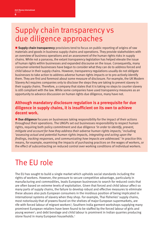## Supply chain transparency vs due diligence approaches

**Supply chain transparency** provisions tend to focus on public reporting of origins of raw materials and goods in business supply chains and operations. They provide stakeholders with an overview of business operations and an assessment of the human rights risks in supply chains. While not a panacea, the extant transparency legislation has helped elevate the issue of human rights within businesses and expanded discourse on the issue. Consequently, many consumer-oriented businesses have begun to consider what they can do to address forced and child labour in their supply chains. However, transparency regulations usually do not obligate businesses to take action to address adverse human rights impacts or to pro-actively identify them. They are first and foremost about some measure of disclosure. For example, the UK Modern Slavery Act requires companies only to disclose the steps they are taking to prevent slavery in their supply chains. Therefore, a company that states that it is taking no steps to counter slavery is still compliant with the law. While some companies have used transparency measures as an opportunity to advance discussion on human rights due diligence, many have not.

### **Although mandatory disclosure regulation is a prerequisite for due**  diligence in supply chains, it is insufficient on its own to achieve decent work.

■ Due diligence focuses on businesses taking responsibility for the impact of their actions throughout their operations. The UNGPs set out businesses responsibility to respect human rights, requiring both policy commitment and due diligence *'in order to identify, prevent, mitigate and account for how they address their adverse human rights impacts,'* including *'assessing actual and potential human rights impacts, integrating and acting upon the findings, tracking responses, and communicating how impacts are addressed.* In practice this means, for example, examining the impacts of purchasing practices on the wages of workers, or the effect of subcontracting on reduced control over working conditions of individual workers.

# The EU role

The EU has sought to build a single market which upholds social standards including the rights of workers. However, the pressure to secure competitive advantage, particularly in manufacturing and commodities, leads European businesses to search for reduced costs that are often based on extreme levels of exploitation. Given that forced and child labour affect so many parts of supply chains, the failure to develop robust and effective measures to eliminate these abuses also puts European consumers in the insidious position of being implicated in international systems of slavery when they shop. For example, Thai fisheries' supply chains, most notoriously that of prawns found on the shelves of major European supermarkets, are rife with forced labour of migrant workers<sup>3</sup>; Southern India garment workshops supplying many prominent European retailers have been found to be staffed by the forced labour of girls and young women<sup>4</sup>; and debt bondage and child labour is prominent in Indian quarries producing stone found in many European households.<sup>5</sup>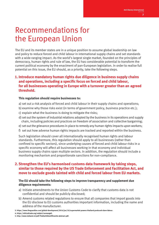## Recommendations for the European Union

The EU and its member states are in a unique position to assume global leadership on law and policy to reduce forced and child labour in international supply chains and set standards with a wide-ranging impact. As the world's largest single market, founded on the principles of democracy, human rights and rule of law, the EU has considerable potential to transform the current political economy by the enactment of pan-European legislation. In order to realise full potential on this issue, the EU should, as a priority, take the following steps.

### **1. Introduce mandatory human rights due diligence in business supply chains and operations, including a specific focus on forced and child labour, for all businesses operating in Europe with a turnover greater than an agreed threshold.**

#### **This regulation should require businesses to:**

- a) set out a risk analysis of forced and child labour in their supply chains and operations;
- b) examine why those risks exist (in terms of government policy, business practice etc.);
- c) explain what the business is doing to mitigate the risks;
- d) set out the system of industrial relations adopted by the business in its operations and supply chain, including policies and practices on freedom of association and collective bargaining;
- e) set out the grievance procedures in place to remedy any human rights impacts upon workers;
- f) set out how adverse human rights impacts are tracked and reported within the business.

Such legislation should cover all internationally recognised human rights and labour standards. Furthermore, this regulation should apply to all businesses (rather than confined to specific sectors), since underlying causes of forced and child labour risks in a specific economy will affect all businesses working in that economy and individual business supply chains span multiple sectors. In addition, the regulation should include a monitoring mechanism and proportionate sanctions for non-compliance.

### **2. Strengthen the EU's harmonised customs data framework by taking steps, similar to those required by the US Trade Enforcement and Facilitation Act, and move to exclude goods tainted with child and forced labour from EU markets.**

#### **The EU should take the following steps to improve transparency and supplement due diligence requirements:**

- a) Initiate amendments to the Union Customs Code to clarify that customs data is not confidential and should be publicly disclosed;
- b) Amend customs related regulations to ensure that all companies that import goods into the EU disclose to EU customs authorities important information, including the name and address of the manufacturer.

**3. https://www.theguardian.com/global-development/2014/jun/10/supermarket-prawns-thailand-produced-slave-labour.**

**4. https://ethicaltrade.org/subject/sumangali.**

**5. http://www.indianet.nl/pdf/TheDarkSitesOfGranite-abstract.pdf.**